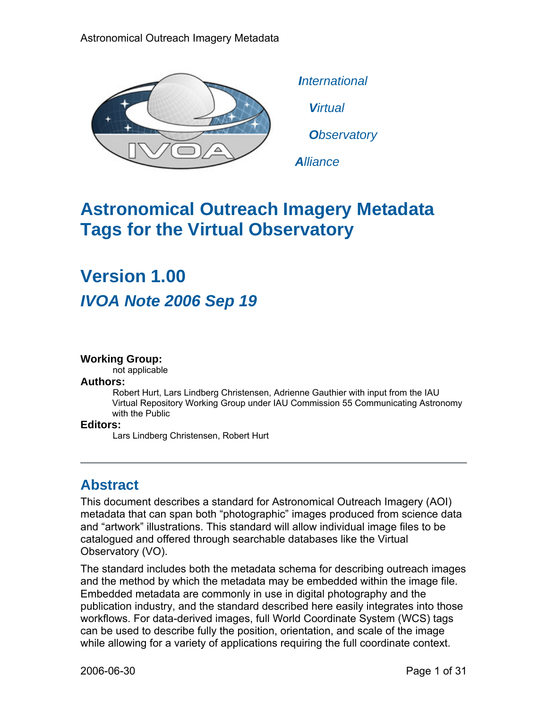

 *International Virtual Observatory*

*Alliance*

## **Astronomical Outreach Imagery Metadata Tags for the Virtual Observatory**

# **Version 1.00**  *IVOA Note 2006 Sep 19*

#### **Working Group:**

not applicable

#### **Authors:**

 Robert Hurt, Lars Lindberg Christensen, Adrienne Gauthier with input from the IAU Virtual Repository Working Group under IAU Commission 55 Communicating Astronomy with the Public

#### **Editors:**

Lars Lindberg Christensen, Robert Hurt

## **Abstract**

This document describes a standard for Astronomical Outreach Imagery (AOI) metadata that can span both "photographic" images produced from science data and "artwork" illustrations. This standard will allow individual image files to be catalogued and offered through searchable databases like the Virtual Observatory (VO).

The standard includes both the metadata schema for describing outreach images and the method by which the metadata may be embedded within the image file. Embedded metadata are commonly in use in digital photography and the publication industry, and the standard described here easily integrates into those workflows. For data-derived images, full World Coordinate System (WCS) tags can be used to describe fully the position, orientation, and scale of the image while allowing for a variety of applications requiring the full coordinate context.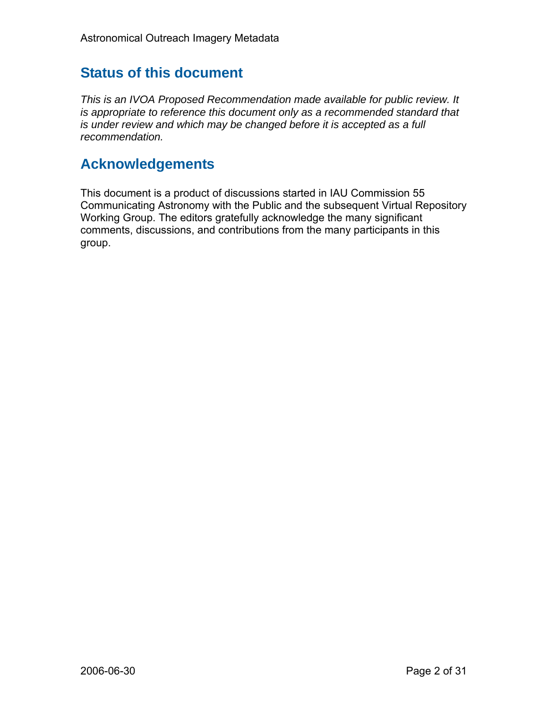## **Status of this document**

*This is an IVOA Proposed Recommendation made available for public review. It is appropriate to reference this document only as a recommended standard that is under review and which may be changed before it is accepted as a full recommendation.* 

## **Acknowledgements**

This document is a product of discussions started in IAU Commission 55 Communicating Astronomy with the Public and the subsequent Virtual Repository Working Group. The editors gratefully acknowledge the many significant comments, discussions, and contributions from the many participants in this group.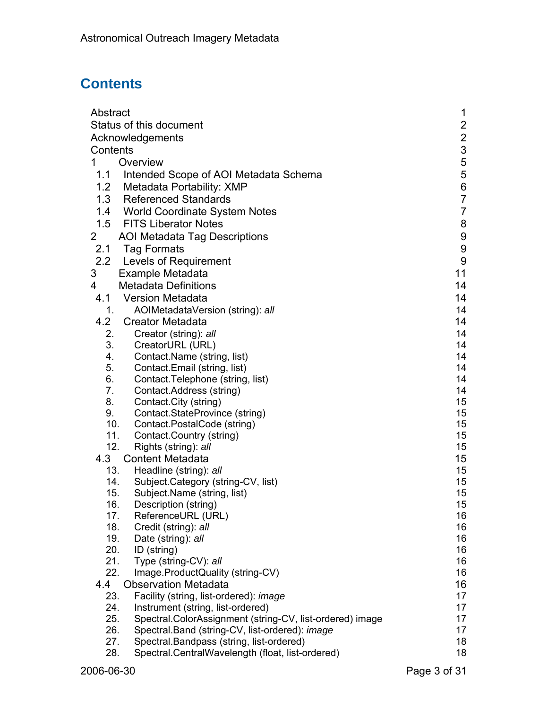## **Contents**

| Abstract                                                             | 1                |  |  |  |  |
|----------------------------------------------------------------------|------------------|--|--|--|--|
| Status of this document                                              |                  |  |  |  |  |
| Acknowledgements                                                     |                  |  |  |  |  |
| Contents                                                             | $\frac{2}{3}$    |  |  |  |  |
| Overview<br>1                                                        | 5                |  |  |  |  |
| 1.1<br>Intended Scope of AOI Metadata Schema                         | 5                |  |  |  |  |
| 1.2<br>Metadata Portability: XMP                                     | $\boldsymbol{6}$ |  |  |  |  |
| <b>Referenced Standards</b><br>1.3                                   | $\overline{7}$   |  |  |  |  |
| 1.4 World Coordinate System Notes                                    | $\overline{7}$   |  |  |  |  |
| 1.5<br><b>FITS Liberator Notes</b>                                   | 8                |  |  |  |  |
| $\mathbf{2}$                                                         | 9                |  |  |  |  |
| <b>AOI Metadata Tag Descriptions</b>                                 |                  |  |  |  |  |
| 2.1<br>Tag Formats                                                   | 9                |  |  |  |  |
| 2.2<br><b>Levels of Requirement</b>                                  | $\boldsymbol{9}$ |  |  |  |  |
| 3<br>Example Metadata                                                | 11               |  |  |  |  |
| <b>Metadata Definitions</b><br>4                                     | 14               |  |  |  |  |
| 4.1 Version Metadata                                                 | 14               |  |  |  |  |
| 1.<br>AOIMetadataVersion (string): all                               | 14               |  |  |  |  |
| 4.2<br><b>Creator Metadata</b>                                       | 14               |  |  |  |  |
| 2.<br>Creator (string): all                                          | 14               |  |  |  |  |
| 3.<br>CreatorURL (URL)                                               | 14               |  |  |  |  |
| Contact.Name (string, list)<br>4.                                    | 14               |  |  |  |  |
| 5.<br>Contact.Email (string, list)                                   | 14               |  |  |  |  |
| 6.<br>Contact. Telephone (string, list)                              | 14               |  |  |  |  |
| 7.<br>Contact.Address (string)                                       | 14               |  |  |  |  |
| 8.<br>Contact.City (string)<br>9.                                    | 15<br>15         |  |  |  |  |
| Contact.StateProvince (string)<br>10.<br>Contact.PostalCode (string) | 15               |  |  |  |  |
| 11.<br>Contact.Country (string)                                      | 15               |  |  |  |  |
| 12.<br>Rights (string): all                                          | 15               |  |  |  |  |
| 4.3<br><b>Content Metadata</b>                                       | 15               |  |  |  |  |
| 13.<br>Headline (string): all                                        | 15               |  |  |  |  |
| 14.<br>Subject.Category (string-CV, list)                            | 15               |  |  |  |  |
| 15.<br>Subject. Name (string, list)                                  | 15               |  |  |  |  |
| 16.<br>Description (string)                                          | 15               |  |  |  |  |
| ReferenceURL (URL)<br>17.                                            | 16               |  |  |  |  |
| 18.<br>Credit (string): all                                          | 16               |  |  |  |  |
| 19.<br>Date (string): all                                            | 16               |  |  |  |  |
| 20.<br>ID (string)                                                   | 16               |  |  |  |  |
| 21.<br>Type (string-CV): all                                         | 16               |  |  |  |  |
| 22.<br>Image.ProductQuality (string-CV)                              | 16               |  |  |  |  |
| 4.4<br><b>Observation Metadata</b>                                   | 16               |  |  |  |  |
| Facility (string, list-ordered): image<br>23.                        | 17               |  |  |  |  |
| 24.<br>Instrument (string, list-ordered)                             | 17               |  |  |  |  |
| 25.<br>Spectral.ColorAssignment (string-CV, list-ordered) image      | 17               |  |  |  |  |
| Spectral.Band (string-CV, list-ordered): image<br>26.                | 17               |  |  |  |  |
| Spectral.Bandpass (string, list-ordered)<br>27.                      | 18               |  |  |  |  |
| Spectral.CentralWavelength (float, list-ordered)<br>28.              | 18               |  |  |  |  |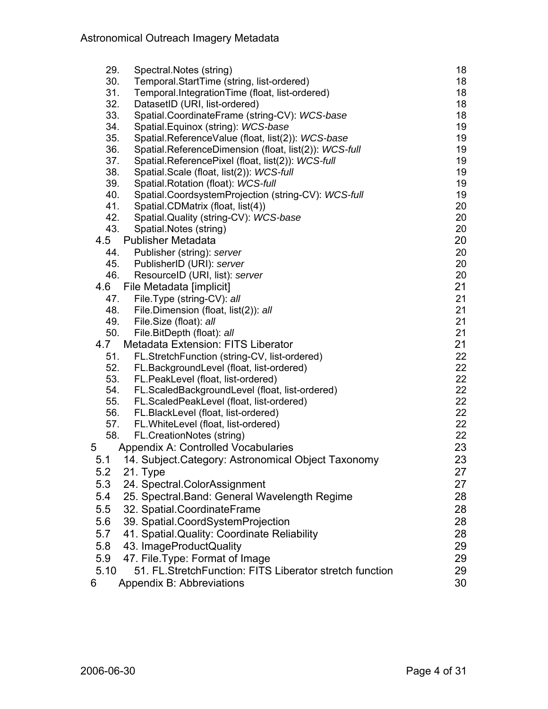| 29.  | Spectral. Notes (string)                                | 18 |
|------|---------------------------------------------------------|----|
| 30.  | Temporal.StartTime (string, list-ordered)               | 18 |
| 31.  | Temporal.IntegrationTime (float, list-ordered)          | 18 |
| 32.  | DatasetID (URI, list-ordered)                           | 18 |
| 33.  | Spatial.CoordinateFrame (string-CV): WCS-base           | 18 |
| 34.  | Spatial.Equinox (string): WCS-base                      | 19 |
| 35.  | Spatial.ReferenceValue (float, list(2)): WCS-base       | 19 |
| 36.  | Spatial.ReferenceDimension (float, list(2)): WCS-full   | 19 |
| 37.  | Spatial.ReferencePixel (float, list(2)): WCS-full       | 19 |
| 38.  | Spatial.Scale (float, list(2)): WCS-full                | 19 |
| 39.  | Spatial.Rotation (float): WCS-full                      | 19 |
| 40.  | Spatial.CoordsystemProjection (string-CV): WCS-full     | 19 |
| 41.  | Spatial.CDMatrix (float, list(4))                       | 20 |
| 42.  | Spatial.Quality (string-CV): WCS-base                   | 20 |
| 43.  | Spatial.Notes (string)                                  | 20 |
| 4.5  | <b>Publisher Metadata</b>                               | 20 |
| 44.  | Publisher (string): server                              | 20 |
| 45.  | PublisherID (URI): server                               | 20 |
| 46.  | ResourceID (URI, list): server                          | 20 |
| 4.6  | File Metadata [implicit]                                | 21 |
| 47.  | File.Type (string-CV): all                              | 21 |
| 48.  | File.Dimension (float, list(2)): all                    | 21 |
| 49.  | File.Size (float): all                                  | 21 |
| 50.  | File.BitDepth (float): all                              | 21 |
| 4.7  | <b>Metadata Extension: FITS Liberator</b>               | 21 |
| 51.  | FL.StretchFunction (string-CV, list-ordered)            | 22 |
| 52.  | FL.BackgroundLevel (float, list-ordered)                | 22 |
| 53.  | FL.PeakLevel (float, list-ordered)                      | 22 |
| 54.  | FL.ScaledBackgroundLevel (float, list-ordered)          | 22 |
| 55.  | FL.ScaledPeakLevel (float, list-ordered)                | 22 |
| 56.  | FL.BlackLevel (float, list-ordered)                     | 22 |
| 57.  | FL. White Level (float, list-ordered)                   | 22 |
| 58.  | FL.CreationNotes (string)                               | 22 |
| 5    | Appendix A: Controlled Vocabularies                     | 23 |
| 5.1  | 14. Subject.Category: Astronomical Object Taxonomy      | 23 |
| 5.2  | 21. Type                                                | 27 |
| 5.3  | 24. Spectral.ColorAssignment                            | 27 |
| 5.4  | 25. Spectral.Band: General Wavelength Regime            | 28 |
| 5.5  | 32. Spatial.CoordinateFrame                             | 28 |
| 5.6  | 39. Spatial.CoordSystemProjection                       | 28 |
| 5.7  | 41. Spatial Quality: Coordinate Reliability             | 28 |
| 5.8  | 43. ImageProductQuality                                 | 29 |
| 5.9  | 47. File. Type: Format of Image                         | 29 |
| 5.10 | 51. FL.StretchFunction: FITS Liberator stretch function | 29 |
| 6    |                                                         | 30 |
|      | Appendix B: Abbreviations                               |    |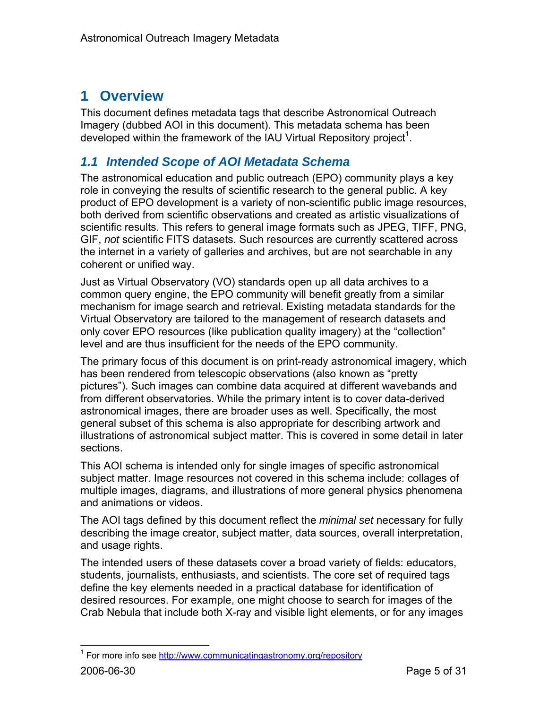## **1 Overview**

This document defines metadata tags that describe Astronomical Outreach Imagery (dubbed AOI in this document). This metadata schema has been developed within the framework of the IAU Virtual Repository project<sup>1</sup>.

## *1.1 Intended Scope of AOI Metadata Schema*

The astronomical education and public outreach (EPO) community plays a key role in conveying the results of scientific research to the general public. A key product of EPO development is a variety of non-scientific public image resources, both derived from scientific observations and created as artistic visualizations of scientific results. This refers to general image formats such as JPEG, TIFF, PNG, GIF, *not* scientific FITS datasets. Such resources are currently scattered across the internet in a variety of galleries and archives, but are not searchable in any coherent or unified way.

Just as Virtual Observatory (VO) standards open up all data archives to a common query engine, the EPO community will benefit greatly from a similar mechanism for image search and retrieval. Existing metadata standards for the Virtual Observatory are tailored to the management of research datasets and only cover EPO resources (like publication quality imagery) at the "collection" level and are thus insufficient for the needs of the EPO community.

The primary focus of this document is on print-ready astronomical imagery, which has been rendered from telescopic observations (also known as "pretty pictures"). Such images can combine data acquired at different wavebands and from different observatories. While the primary intent is to cover data-derived astronomical images, there are broader uses as well. Specifically, the most general subset of this schema is also appropriate for describing artwork and illustrations of astronomical subject matter. This is covered in some detail in later sections.

This AOI schema is intended only for single images of specific astronomical subject matter. Image resources not covered in this schema include: collages of multiple images, diagrams, and illustrations of more general physics phenomena and animations or videos.

The AOI tags defined by this document reflect the *minimal set* necessary for fully describing the image creator, subject matter, data sources, overall interpretation, and usage rights.

The intended users of these datasets cover a broad variety of fields: educators, students, journalists, enthusiasts, and scientists. The core set of required tags define the key elements needed in a practical database for identification of desired resources. For example, one might choose to search for images of the Crab Nebula that include both X-ray and visible light elements, or for any images

1

<sup>2006-06-30</sup> Page 5 of 31 <sup>1</sup> For more info see http://www.communicatingastronomy.org/repository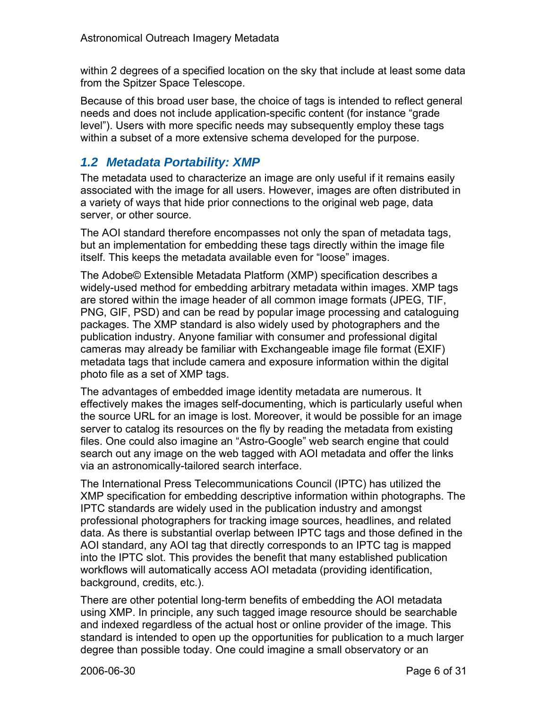within 2 degrees of a specified location on the sky that include at least some data from the Spitzer Space Telescope.

Because of this broad user base, the choice of tags is intended to reflect general needs and does not include application-specific content (for instance "grade level"). Users with more specific needs may subsequently employ these tags within a subset of a more extensive schema developed for the purpose.

## *1.2 Metadata Portability: XMP*

The metadata used to characterize an image are only useful if it remains easily associated with the image for all users. However, images are often distributed in a variety of ways that hide prior connections to the original web page, data server, or other source.

The AOI standard therefore encompasses not only the span of metadata tags, but an implementation for embedding these tags directly within the image file itself. This keeps the metadata available even for "loose" images.

The Adobe© Extensible Metadata Platform (XMP) specification describes a widely-used method for embedding arbitrary metadata within images. XMP tags are stored within the image header of all common image formats (JPEG, TIF, PNG, GIF, PSD) and can be read by popular image processing and cataloguing packages. The XMP standard is also widely used by photographers and the publication industry. Anyone familiar with consumer and professional digital cameras may already be familiar with Exchangeable image file format (EXIF) metadata tags that include camera and exposure information within the digital photo file as a set of XMP tags.

The advantages of embedded image identity metadata are numerous. It effectively makes the images self-documenting, which is particularly useful when the source URL for an image is lost. Moreover, it would be possible for an image server to catalog its resources on the fly by reading the metadata from existing files. One could also imagine an "Astro-Google" web search engine that could search out any image on the web tagged with AOI metadata and offer the links via an astronomically-tailored search interface.

The International Press Telecommunications Council (IPTC) has utilized the XMP specification for embedding descriptive information within photographs. The IPTC standards are widely used in the publication industry and amongst professional photographers for tracking image sources, headlines, and related data. As there is substantial overlap between IPTC tags and those defined in the AOI standard, any AOI tag that directly corresponds to an IPTC tag is mapped into the IPTC slot. This provides the benefit that many established publication workflows will automatically access AOI metadata (providing identification, background, credits, etc.).

There are other potential long-term benefits of embedding the AOI metadata using XMP. In principle, any such tagged image resource should be searchable and indexed regardless of the actual host or online provider of the image. This standard is intended to open up the opportunities for publication to a much larger degree than possible today. One could imagine a small observatory or an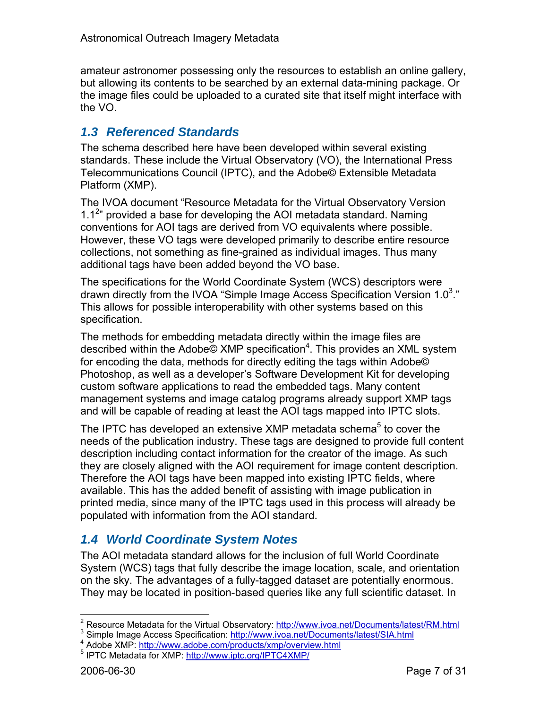amateur astronomer possessing only the resources to establish an online gallery, but allowing its contents to be searched by an external data-mining package. Or the image files could be uploaded to a curated site that itself might interface with the VO.

## *1.3 Referenced Standards*

The schema described here have been developed within several existing standards. These include the Virtual Observatory (VO), the International Press Telecommunications Council (IPTC), and the Adobe© Extensible Metadata Platform (XMP).

The IVOA document "Resource Metadata for the Virtual Observatory Version 1.1 $2$ <sup>n</sup> provided a base for developing the AOI metadata standard. Naming conventions for AOI tags are derived from VO equivalents where possible. However, these VO tags were developed primarily to describe entire resource collections, not something as fine-grained as individual images. Thus many additional tags have been added beyond the VO base.

The specifications for the World Coordinate System (WCS) descriptors were drawn directly from the IVOA "Simple Image Access Specification Version 1.0<sup>3</sup>." This allows for possible interoperability with other systems based on this specification.

The methods for embedding metadata directly within the image files are described within the Adobe© XMP specification<sup>4</sup>. This provides an XML system for encoding the data, methods for directly editing the tags within Adobe© Photoshop, as well as a developer's Software Development Kit for developing custom software applications to read the embedded tags. Many content management systems and image catalog programs already support XMP tags and will be capable of reading at least the AOI tags mapped into IPTC slots.

The IPTC has developed an extensive XMP metadata schema<sup>5</sup> to cover the needs of the publication industry. These tags are designed to provide full content description including contact information for the creator of the image. As such they are closely aligned with the AOI requirement for image content description. Therefore the AOI tags have been mapped into existing IPTC fields, where available. This has the added benefit of assisting with image publication in printed media, since many of the IPTC tags used in this process will already be populated with information from the AOI standard.

## *1.4 World Coordinate System Notes*

The AOI metadata standard allows for the inclusion of full World Coordinate System (WCS) tags that fully describe the image location, scale, and orientation on the sky. The advantages of a fully-tagged dataset are potentially enormous. They may be located in position-based queries like any full scientific dataset. In

<sup>3</sup> Simple Image Access Specification: http://www.ivoa.net/Documents/latest/SIA.html

 $\overline{a}$ <sup>2</sup> Resource Metadata for the Virtual Observatory: http://www.ivoa.net/Documents/latest/RM.html<br><sup>3</sup> Cimple Image Access Specification: http://www.ivoc.net/Documents/latest/SLA.html

<sup>&</sup>lt;sup>4</sup> Adobe XMP: http://www.adobe.com/products/xmp/overview.html

<sup>&</sup>lt;sup>5</sup> IPTC Metadata for XMP: http://www.iptc.org/IPTC4XMP/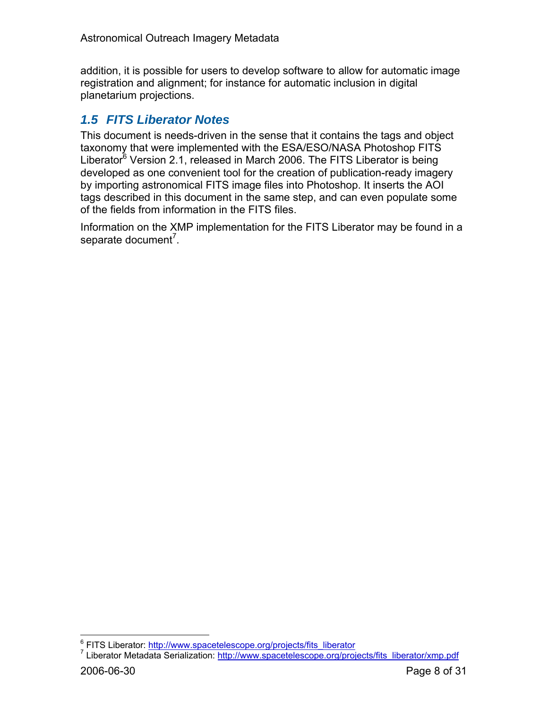addition, it is possible for users to develop software to allow for automatic image registration and alignment; for instance for automatic inclusion in digital planetarium projections.

## *1.5 FITS Liberator Notes*

This document is needs-driven in the sense that it contains the tags and object taxonomy that were implemented with the ESA/ESO/NASA Photoshop FITS Liberator<sup>6</sup> Version 2.1, released in March 2006. The FITS Liberator is being developed as one convenient tool for the creation of publication-ready imagery by importing astronomical FITS image files into Photoshop. It inserts the AOI tags described in this document in the same step, and can even populate some of the fields from information in the FITS files.

Information on the XMP implementation for the FITS Liberator may be found in a separate document<sup>7</sup>.

 $\overline{a}$ 

<sup>&</sup>lt;sup>6</sup> FITS Liberator: http://www.spacetelescope.org/projects/fits\_liberator<br>7 Liberator Metadate Serialization: http://www.epeestelescope.org/pro

<sup>&</sup>lt;sup>7</sup> Liberator Metadata Serialization: http://www.spacetelescope.org/projects/fits\_liberator/xmp.pdf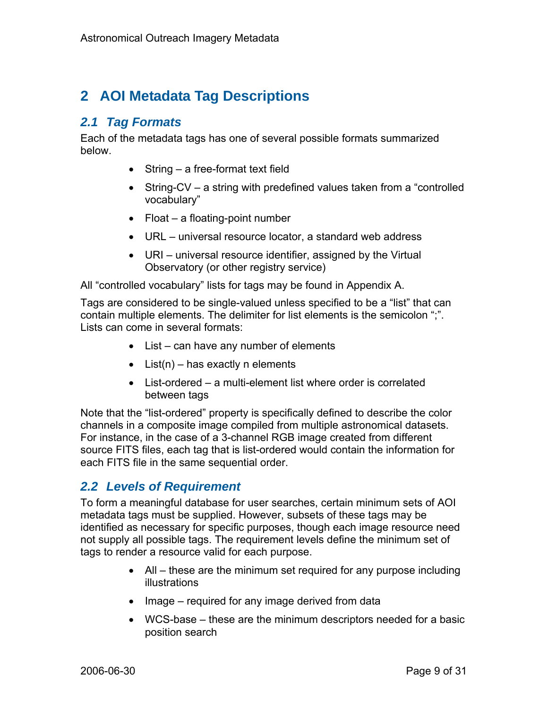## **2 AOI Metadata Tag Descriptions**

## *2.1 Tag Formats*

Each of the metadata tags has one of several possible formats summarized below.

- String a free-format text field
- String-CV a string with predefined values taken from a "controlled" vocabulary"
- Float a floating-point number
- URL universal resource locator, a standard web address
- URI universal resource identifier, assigned by the Virtual Observatory (or other registry service)

All "controlled vocabulary" lists for tags may be found in Appendix A.

Tags are considered to be single-valued unless specified to be a "list" that can contain multiple elements. The delimiter for list elements is the semicolon ";". Lists can come in several formats:

- List can have any number of elements
- $\bullet$  List(n) has exactly n elements
- List-ordered a multi-element list where order is correlated between tags

Note that the "list-ordered" property is specifically defined to describe the color channels in a composite image compiled from multiple astronomical datasets. For instance, in the case of a 3-channel RGB image created from different source FITS files, each tag that is list-ordered would contain the information for each FITS file in the same sequential order.

## *2.2 Levels of Requirement*

To form a meaningful database for user searches, certain minimum sets of AOI metadata tags must be supplied. However, subsets of these tags may be identified as necessary for specific purposes, though each image resource need not supply all possible tags. The requirement levels define the minimum set of tags to render a resource valid for each purpose.

- All these are the minimum set required for any purpose including illustrations
- Image required for any image derived from data
- WCS-base these are the minimum descriptors needed for a basic position search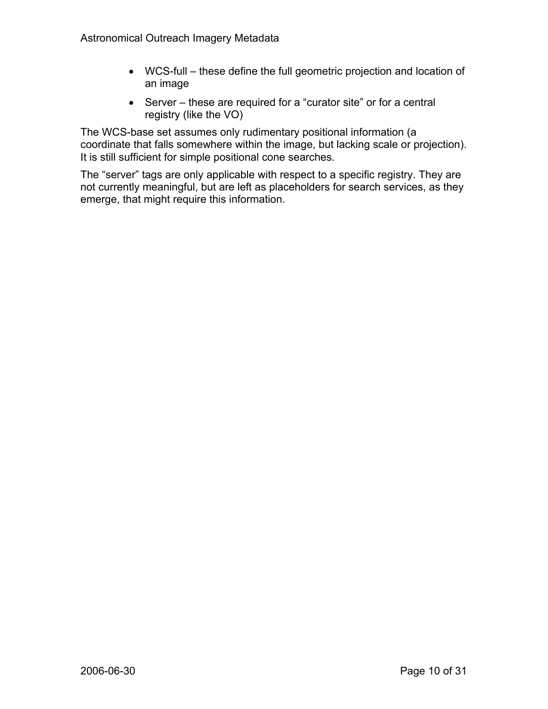- WCS-full these define the full geometric projection and location of an image
- Server these are required for a "curator site" or for a central registry (like the VO)

The WCS-base set assumes only rudimentary positional information (a coordinate that falls somewhere within the image, but lacking scale or projection). It is still sufficient for simple positional cone searches.

The "server" tags are only applicable with respect to a specific registry. They are not currently meaningful, but are left as placeholders for search services, as they emerge, that might require this information.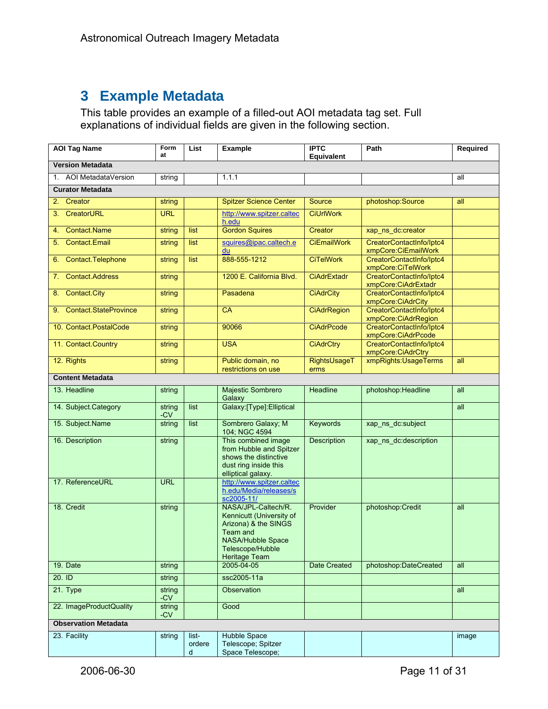## **3 Example Metadata**

This table provides an example of a filled-out AOI metadata tag set. Full explanations of individual fields are given in the following section.

| <b>AOI Tag Name</b>                    | Form<br>at      | List                 | <b>Example</b>                                                                                                                                       | <b>IPTC</b><br>Equivalent | Path                                            | Required |
|----------------------------------------|-----------------|----------------------|------------------------------------------------------------------------------------------------------------------------------------------------------|---------------------------|-------------------------------------------------|----------|
| <b>Version Metadata</b>                |                 |                      |                                                                                                                                                      |                           |                                                 |          |
| 1. AOI MetadataVersion                 | string          |                      | 1.1.1                                                                                                                                                |                           |                                                 | all      |
| <b>Curator Metadata</b>                |                 |                      |                                                                                                                                                      |                           |                                                 |          |
| 2. Creator                             | string          |                      | <b>Spitzer Science Center</b>                                                                                                                        | Source                    | photoshop:Source                                | all      |
| CreatorURL<br>3.                       | <b>URL</b>      |                      | http://www.spitzer.caltec<br>h.edu                                                                                                                   | <b>CiUrlWork</b>          |                                                 |          |
| <b>Contact Name</b><br>4.              | string          | list                 | <b>Gordon Squires</b>                                                                                                                                | Creator                   | xap_ns_dc:creator                               |          |
| <b>Contact.Email</b><br>5 <sub>1</sub> | string          | list                 | squires@ipac.caltech.e<br>du                                                                                                                         | <b>CiEmailWork</b>        | CreatorContactInfo/Iptc4<br>xmpCore:CiEmailWork |          |
| Contact.Telephone<br>6.                | string          | list                 | 888-555-1212                                                                                                                                         | <b>CiTelWork</b>          | CreatorContactInfo/Iptc4<br>xmpCore:CiTelWork   |          |
| <b>Contact.Address</b><br>7.           | string          |                      | 1200 E. California Blvd.                                                                                                                             | <b>CiAdrExtadr</b>        | CreatorContactInfo/Iptc4<br>xmpCore:CiAdrExtadr |          |
| <b>Contact City</b><br>8.              | string          |                      | Pasadena                                                                                                                                             | <b>CiAdrCity</b>          | CreatorContactInfo/Iptc4<br>xmpCore:CiAdrCity   |          |
| 9. Contact StateProvince               | string          |                      | <b>CA</b>                                                                                                                                            | <b>CiAdrRegion</b>        | CreatorContactInfo/Iptc4<br>xmpCore:CiAdrRegion |          |
| 10. Contact PostalCode                 | string          |                      | 90066                                                                                                                                                | <b>CiAdrPcode</b>         | CreatorContactInfo/Iptc4<br>xmpCore:CiAdrPcode  |          |
| 11. Contact Country                    | string          |                      | <b>USA</b>                                                                                                                                           | <b>CiAdrCtry</b>          | CreatorContactInfo/Iptc4<br>xmpCore:CiAdrCtry   |          |
| 12. Rights                             | string          |                      | Public domain, no<br>restrictions on use                                                                                                             | RightsUsageT<br>erms      | xmpRights: UsageTerms                           | all      |
| <b>Content Metadata</b>                |                 |                      |                                                                                                                                                      |                           |                                                 |          |
| 13. Headline                           | string          |                      | Majestic Sombrero<br>Galaxy                                                                                                                          | Headline                  | photoshop:Headline                              | all      |
| 14. Subject Category                   | string<br>$-CV$ | list                 | Galaxy:[Type]:Elliptical                                                                                                                             |                           |                                                 | all      |
| 15. Subject Name                       | string          | list                 | Sombrero Galaxy; M<br>104; NGC 4594                                                                                                                  | <b>Keywords</b>           | xap_ns_dc:subject                               |          |
| 16. Description                        | string          |                      | This combined image<br>from Hubble and Spitzer<br>shows the distinctive<br>dust ring inside this<br>elliptical galaxy.                               | Description               | xap_ns_dc:description                           |          |
| 17. ReferenceURL                       | <b>URL</b>      |                      | http://www.spitzer.caltec<br>h.edu/Media/releases/s<br>sc2005-11/                                                                                    |                           |                                                 |          |
| 18. Credit                             | string          |                      | NASA/JPL-Caltech/R.<br>Kennicutt (University of<br>Arizona) & the SINGS<br>Team and<br>NASA/Hubble Space<br>Telescope/Hubble<br><b>Heritage Team</b> | Provider                  | photoshop:Credit                                | all      |
| 19. Date                               | string          |                      | 2005-04-05                                                                                                                                           | Date Created              | photoshop:DateCreated                           | all      |
| $20.$ ID                               | string          |                      | ssc2005-11a                                                                                                                                          |                           |                                                 |          |
| 21. Type                               | string<br>-CV   |                      | <b>Observation</b>                                                                                                                                   |                           |                                                 | all      |
| 22. ImageProductQuality                | string<br>$-CV$ |                      | Good                                                                                                                                                 |                           |                                                 |          |
| <b>Observation Metadata</b>            |                 |                      |                                                                                                                                                      |                           |                                                 |          |
| 23. Facility                           | string          | list-<br>ordere<br>d | Hubble Space<br>Telescope; Spitzer<br>Space Telescope;                                                                                               |                           |                                                 | image    |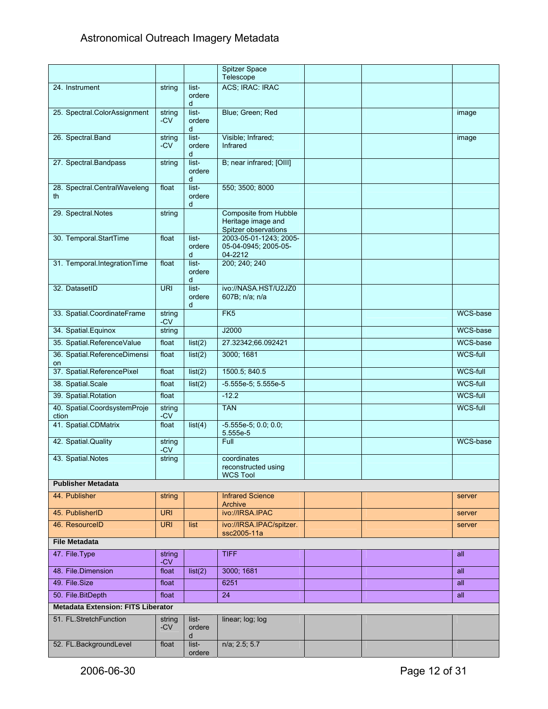## Astronomical Outreach Imagery Metadata

|                                           |                 |                      | Spitzer Space                                                       |  |                 |
|-------------------------------------------|-----------------|----------------------|---------------------------------------------------------------------|--|-----------------|
| 24. Instrument                            | string          | list-                | Telescope<br>ACS; IRAC: IRAC                                        |  |                 |
|                                           |                 | ordere<br>d          |                                                                     |  |                 |
| 25. Spectral.ColorAssignment              | string<br>-CV   | list-<br>ordere<br>d | Blue; Green; Red                                                    |  | image           |
| 26. Spectral.Band                         | string<br>-CV   | list-<br>ordere<br>d | Visible; Infrared;<br>Infrared                                      |  | image           |
| 27. Spectral.Bandpass                     | string          | list-<br>ordere<br>d | B; near infrared; [OIII]                                            |  |                 |
| 28. Spectral.CentralWaveleng<br>th        | float           | list-<br>ordere<br>d | 550; 3500; 8000                                                     |  |                 |
| 29. Spectral.Notes                        | string          |                      | Composite from Hubble<br>Heritage image and<br>Spitzer observations |  |                 |
| 30. Temporal.StartTime                    | float           | list-<br>ordere<br>d | 2003-05-01-1243; 2005-<br>05-04-0945; 2005-05-<br>04-2212           |  |                 |
| 31. Temporal IntegrationTime              | float           | list-<br>ordere<br>d | 200; 240; 240                                                       |  |                 |
| 32. DatasetID                             | <b>URI</b>      | list-<br>ordere<br>d | ivo://NASA.HST/U2JZ0<br>607B; n/a; n/a                              |  |                 |
| 33. Spatial.CoordinateFrame               | strina<br>-CV   |                      | FK5                                                                 |  | WCS-base        |
| 34. Spatial.Equinox                       | string          |                      | J2000                                                               |  | WCS-base        |
| 35. Spatial.ReferenceValue                | float           | list(2)              | 27.32342;66.092421                                                  |  | WCS-base        |
| 36. Spatial ReferenceDimensi<br>on        | float           | list(2)              | 3000; 1681                                                          |  | <b>WCS-full</b> |
| 37. Spatial ReferencePixel                | float           | list(2)              | 1500.5; 840.5                                                       |  | WCS-full        |
| 38. Spatial.Scale                         | float           | list(2)              | $-5.555e-5$ ; 5.555e-5                                              |  | WCS-full        |
| 39. Spatial Rotation                      | float           |                      | $-12.2$                                                             |  | WCS-full        |
| 40. Spatial.CoordsystemProje<br>ction     | string<br>-CV   |                      | <b>TAN</b>                                                          |  | WCS-full        |
| 41. Spatial.CDMatrix                      | float           | list(4)              | $-5.555e-5; 0.0; 0.0;$<br>5.555e-5                                  |  |                 |
| 42. Spatial Quality                       | string<br>$-CV$ |                      | Full                                                                |  | WCS-base        |
| 43. Spatial.Notes                         | string          |                      | coordinates<br>reconstructed using<br><b>WCS Tool</b>               |  |                 |
| <b>Publisher Metadata</b>                 |                 |                      |                                                                     |  |                 |
| 44. Publisher                             | string          |                      | <b>Infrared Science</b><br>Archive                                  |  | server          |
| 45. PublisherID                           | <b>URI</b>      |                      | ivo://IRSA.IPAC                                                     |  | server          |
| 46. ResourceID                            | <b>URI</b>      | list                 | ivo://IRSA.IPAC/spitzer.<br>ssc2005-11a                             |  | server          |
| <b>File Metadata</b>                      |                 |                      |                                                                     |  |                 |
| 47. File Type                             | string<br>$-CV$ |                      | TIFF                                                                |  | all             |
| 48. File Dimension                        | float           | list(2)              | 3000; 1681                                                          |  | all             |
| 49. File Size                             | float           |                      | 6251                                                                |  | all             |
| 50. File.BitDepth                         | float           |                      | 24                                                                  |  | all             |
| <b>Metadata Extension: FITS Liberator</b> |                 |                      |                                                                     |  |                 |
| 51. FL.StretchFunction                    | string<br>$-CV$ | list-<br>ordere<br>d | linear; log; log                                                    |  |                 |
| 52. FL.BackgroundLevel                    | float           | list-<br>ordere      | $n/a$ ; 2.5; 5.7                                                    |  |                 |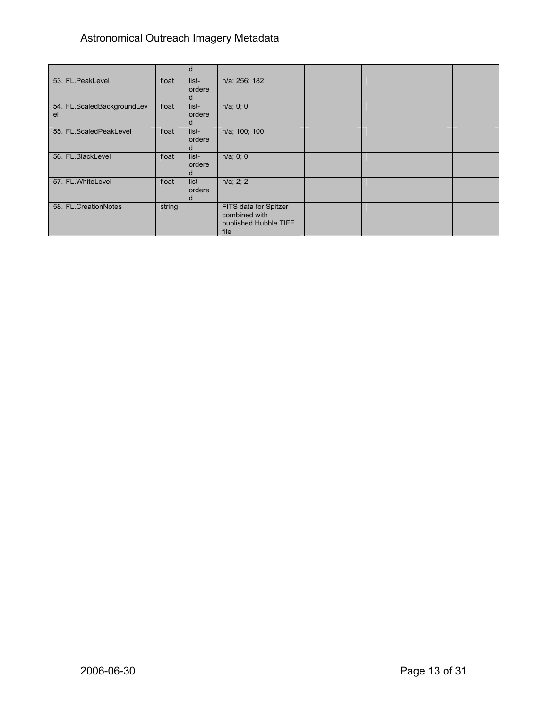## Astronomical Outreach Imagery Metadata

|                                  |        | d                    |                                                                         |  |  |
|----------------------------------|--------|----------------------|-------------------------------------------------------------------------|--|--|
| 53. FL.PeakLevel                 | float  | list-<br>ordere<br>n | n/a; 256; 182                                                           |  |  |
| 54. FL.ScaledBackgroundLev<br>el | float  | list-<br>ordere<br>a | $n/a$ ; 0; 0                                                            |  |  |
| 55. FL.ScaledPeakLevel           | float  | list-<br>ordere      | n/a; 100; 100                                                           |  |  |
| 56. FL.BlackLevel                | float  | list-<br>ordere<br>a | $n/a$ ; 0; 0                                                            |  |  |
| 57. FL.WhiteLevel                | float  | list-<br>ordere<br>d | $n/a$ ; 2; 2                                                            |  |  |
| 58. FL.CreationNotes             | string |                      | FITS data for Spitzer<br>combined with<br>published Hubble TIFF<br>file |  |  |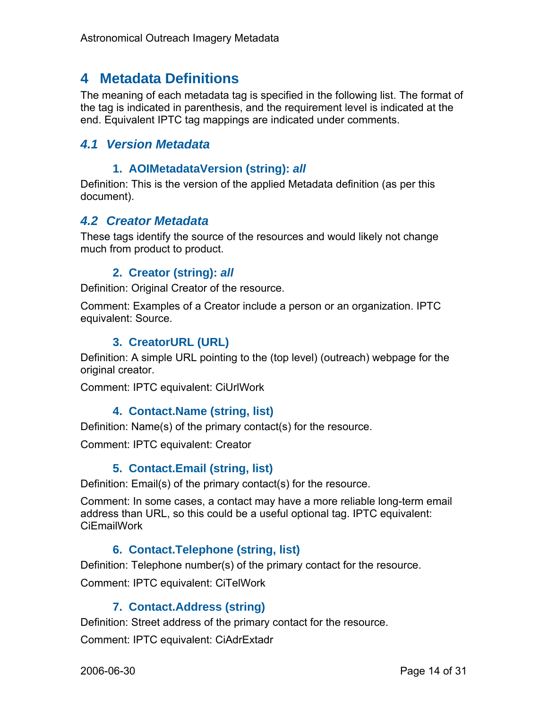## **4 Metadata Definitions**

The meaning of each metadata tag is specified in the following list. The format of the tag is indicated in parenthesis, and the requirement level is indicated at the end. Equivalent IPTC tag mappings are indicated under comments.

## *4.1 Version Metadata*

#### **1. AOIMetadataVersion (string):** *all*

Definition: This is the version of the applied Metadata definition (as per this document).

## *4.2 Creator Metadata*

These tags identify the source of the resources and would likely not change much from product to product.

## **2. Creator (string):** *all*

Definition: Original Creator of the resource.

Comment: Examples of a Creator include a person or an organization. IPTC equivalent: Source.

## **3. CreatorURL (URL)**

Definition: A simple URL pointing to the (top level) (outreach) webpage for the original creator.

Comment: IPTC equivalent: CiUrlWork

## **4. Contact.Name (string, list)**

Definition: Name(s) of the primary contact(s) for the resource.

Comment: IPTC equivalent: Creator

## **5. Contact.Email (string, list)**

Definition: Email(s) of the primary contact(s) for the resource.

Comment: In some cases, a contact may have a more reliable long-term email address than URL, so this could be a useful optional tag. IPTC equivalent: CiEmailWork

## **6. Contact.Telephone (string, list)**

Definition: Telephone number(s) of the primary contact for the resource.

Comment: IPTC equivalent: CiTelWork

## **7. Contact.Address (string)**

Definition: Street address of the primary contact for the resource.

Comment: IPTC equivalent: CiAdrExtadr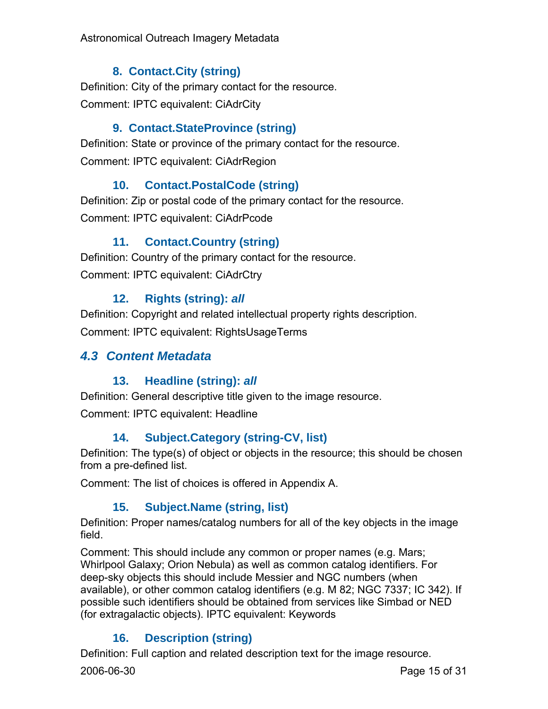Astronomical Outreach Imagery Metadata

## **8. Contact.City (string)**

Definition: City of the primary contact for the resource. Comment: IPTC equivalent: CiAdrCity

## **9. Contact.StateProvince (string)**

Definition: State or province of the primary contact for the resource. Comment: IPTC equivalent: CiAdrRegion

## **10. Contact.PostalCode (string)**

Definition: Zip or postal code of the primary contact for the resource. Comment: IPTC equivalent: CiAdrPcode

## **11. Contact.Country (string)**

Definition: Country of the primary contact for the resource. Comment: IPTC equivalent: CiAdrCtry

## **12. Rights (string):** *all*

Definition: Copyright and related intellectual property rights description. Comment: IPTC equivalent: RightsUsageTerms

## *4.3 Content Metadata*

## **13. Headline (string):** *all*

Definition: General descriptive title given to the image resource.

Comment: IPTC equivalent: Headline

## **14. Subject.Category (string-CV, list)**

Definition: The type(s) of object or objects in the resource; this should be chosen from a pre-defined list.

Comment: The list of choices is offered in Appendix A.

## **15. Subject.Name (string, list)**

Definition: Proper names/catalog numbers for all of the key objects in the image field.

Comment: This should include any common or proper names (e.g. Mars; Whirlpool Galaxy; Orion Nebula) as well as common catalog identifiers. For deep-sky objects this should include Messier and NGC numbers (when available), or other common catalog identifiers (e.g. M 82; NGC 7337; IC 342). If possible such identifiers should be obtained from services like Simbad or NED (for extragalactic objects). IPTC equivalent: Keywords

## **16. Description (string)**

Definition: Full caption and related description text for the image resource.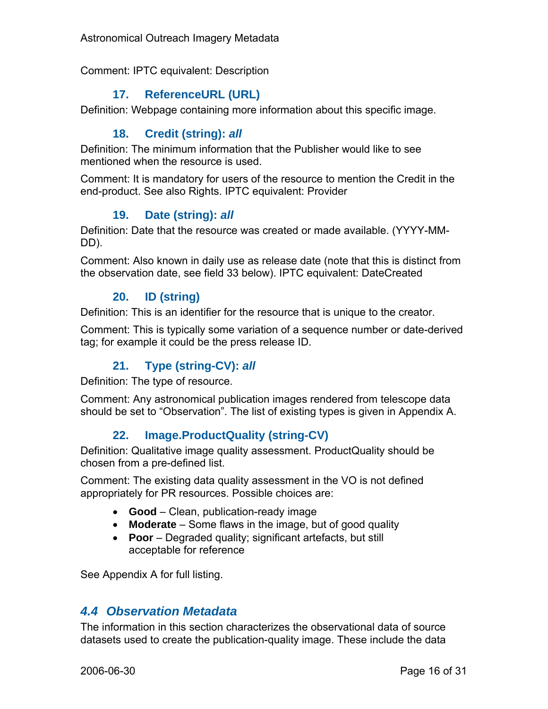Astronomical Outreach Imagery Metadata

Comment: IPTC equivalent: Description

## **17. ReferenceURL (URL)**

Definition: Webpage containing more information about this specific image.

## **18. Credit (string):** *all*

Definition: The minimum information that the Publisher would like to see mentioned when the resource is used.

Comment: It is mandatory for users of the resource to mention the Credit in the end-product. See also Rights. IPTC equivalent: Provider

#### **19. Date (string):** *all*

Definition: Date that the resource was created or made available. (YYYY-MM-DD).

Comment: Also known in daily use as release date (note that this is distinct from the observation date, see field 33 below). IPTC equivalent: DateCreated

#### **20. ID (string)**

Definition: This is an identifier for the resource that is unique to the creator.

Comment: This is typically some variation of a sequence number or date-derived tag; for example it could be the press release ID.

## **21. Type (string-CV):** *all*

Definition: The type of resource.

Comment: Any astronomical publication images rendered from telescope data should be set to "Observation". The list of existing types is given in Appendix A.

## **22. Image.ProductQuality (string-CV)**

Definition: Qualitative image quality assessment. ProductQuality should be chosen from a pre-defined list.

Comment: The existing data quality assessment in the VO is not defined appropriately for PR resources. Possible choices are:

- **Good** Clean, publication-ready image
- **Moderate** Some flaws in the image, but of good quality
- **Poor** Degraded quality; significant artefacts, but still acceptable for reference

See Appendix A for full listing.

## *4.4 Observation Metadata*

The information in this section characterizes the observational data of source datasets used to create the publication-quality image. These include the data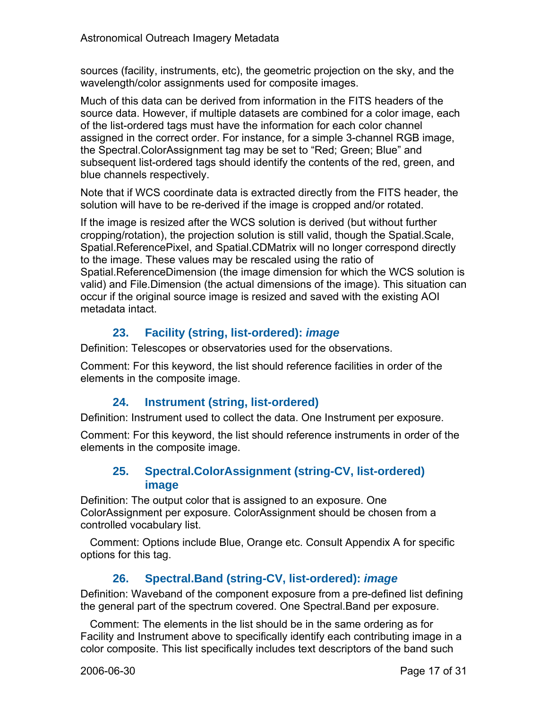sources (facility, instruments, etc), the geometric projection on the sky, and the wavelength/color assignments used for composite images.

Much of this data can be derived from information in the FITS headers of the source data. However, if multiple datasets are combined for a color image, each of the list-ordered tags must have the information for each color channel assigned in the correct order. For instance, for a simple 3-channel RGB image, the Spectral.ColorAssignment tag may be set to "Red; Green; Blue" and subsequent list-ordered tags should identify the contents of the red, green, and blue channels respectively.

Note that if WCS coordinate data is extracted directly from the FITS header, the solution will have to be re-derived if the image is cropped and/or rotated.

If the image is resized after the WCS solution is derived (but without further cropping/rotation), the projection solution is still valid, though the Spatial.Scale, Spatial.ReferencePixel, and Spatial.CDMatrix will no longer correspond directly to the image. These values may be rescaled using the ratio of Spatial.ReferenceDimension (the image dimension for which the WCS solution is valid) and File.Dimension (the actual dimensions of the image). This situation can occur if the original source image is resized and saved with the existing AOI metadata intact.

## **23. Facility (string, list-ordered):** *image*

Definition: Telescopes or observatories used for the observations.

Comment: For this keyword, the list should reference facilities in order of the elements in the composite image.

## **24. Instrument (string, list-ordered)**

Definition: Instrument used to collect the data. One Instrument per exposure.

Comment: For this keyword, the list should reference instruments in order of the elements in the composite image.

## **25. Spectral.ColorAssignment (string-CV, list-ordered) image**

Definition: The output color that is assigned to an exposure. One ColorAssignment per exposure. ColorAssignment should be chosen from a controlled vocabulary list.

Comment: Options include Blue, Orange etc. Consult Appendix A for specific options for this tag.

## **26. Spectral.Band (string-CV, list-ordered):** *image*

Definition: Waveband of the component exposure from a pre-defined list defining the general part of the spectrum covered. One Spectral.Band per exposure.

Comment: The elements in the list should be in the same ordering as for Facility and Instrument above to specifically identify each contributing image in a color composite. This list specifically includes text descriptors of the band such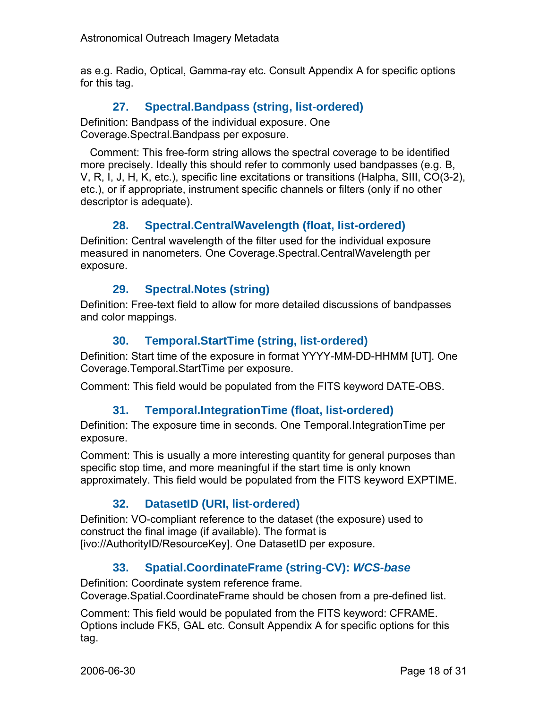as e.g. Radio, Optical, Gamma-ray etc. Consult Appendix A for specific options for this tag.

## **27. Spectral.Bandpass (string, list-ordered)**

Definition: Bandpass of the individual exposure. One Coverage.Spectral.Bandpass per exposure.

Comment: This free-form string allows the spectral coverage to be identified more precisely. Ideally this should refer to commonly used bandpasses (e.g. B, V, R, I, J, H, K, etc.), specific line excitations or transitions (Halpha, SIII, CO(3-2), etc.), or if appropriate, instrument specific channels or filters (only if no other descriptor is adequate).

#### **28. Spectral.CentralWavelength (float, list-ordered)**

Definition: Central wavelength of the filter used for the individual exposure measured in nanometers. One Coverage.Spectral.CentralWavelength per exposure.

#### **29. Spectral.Notes (string)**

Definition: Free-text field to allow for more detailed discussions of bandpasses and color mappings.

#### **30. Temporal.StartTime (string, list-ordered)**

Definition: Start time of the exposure in format YYYY-MM-DD-HHMM [UT]. One Coverage.Temporal.StartTime per exposure.

Comment: This field would be populated from the FITS keyword DATE-OBS.

#### **31. Temporal.IntegrationTime (float, list-ordered)**

Definition: The exposure time in seconds. One Temporal.IntegrationTime per exposure.

Comment: This is usually a more interesting quantity for general purposes than specific stop time, and more meaningful if the start time is only known approximately. This field would be populated from the FITS keyword EXPTIME.

## **32. DatasetID (URI, list-ordered)**

Definition: VO-compliant reference to the dataset (the exposure) used to construct the final image (if available). The format is [ivo://AuthorityID/ResourceKey]. One DatasetID per exposure.

## **33. Spatial.CoordinateFrame (string-CV):** *WCS-base*

Definition: Coordinate system reference frame. Coverage.Spatial.CoordinateFrame should be chosen from a pre-defined list.

Comment: This field would be populated from the FITS keyword: CFRAME. Options include FK5, GAL etc. Consult Appendix A for specific options for this tag.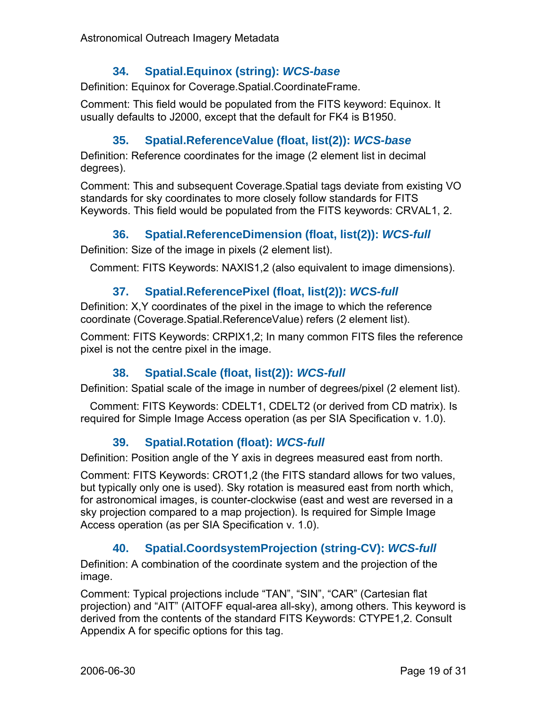## **34. Spatial.Equinox (string):** *WCS-base*

Definition: Equinox for Coverage.Spatial.CoordinateFrame.

Comment: This field would be populated from the FITS keyword: Equinox. It usually defaults to J2000, except that the default for FK4 is B1950.

## **35. Spatial.ReferenceValue (float, list(2)):** *WCS-base*

Definition: Reference coordinates for the image (2 element list in decimal degrees).

Comment: This and subsequent Coverage.Spatial tags deviate from existing VO standards for sky coordinates to more closely follow standards for FITS Keywords. This field would be populated from the FITS keywords: CRVAL1, 2.

## **36. Spatial.ReferenceDimension (float, list(2)):** *WCS-full*

Definition: Size of the image in pixels (2 element list).

Comment: FITS Keywords: NAXIS1,2 (also equivalent to image dimensions).

## **37. Spatial.ReferencePixel (float, list(2)):** *WCS-full*

Definition: X,Y coordinates of the pixel in the image to which the reference coordinate (Coverage.Spatial.ReferenceValue) refers (2 element list).

Comment: FITS Keywords: CRPIX1,2; In many common FITS files the reference pixel is not the centre pixel in the image.

## **38. Spatial.Scale (float, list(2)):** *WCS-full*

Definition: Spatial scale of the image in number of degrees/pixel (2 element list).

Comment: FITS Keywords: CDELT1, CDELT2 (or derived from CD matrix). Is required for Simple Image Access operation (as per SIA Specification v. 1.0).

## **39. Spatial.Rotation (float):** *WCS-full*

Definition: Position angle of the Y axis in degrees measured east from north.

Comment: FITS Keywords: CROT1,2 (the FITS standard allows for two values, but typically only one is used). Sky rotation is measured east from north which, for astronomical images, is counter-clockwise (east and west are reversed in a sky projection compared to a map projection). Is required for Simple Image Access operation (as per SIA Specification v. 1.0).

## **40. Spatial.CoordsystemProjection (string-CV):** *WCS-full*

Definition: A combination of the coordinate system and the projection of the image.

Comment: Typical projections include "TAN", "SIN", "CAR" (Cartesian flat projection) and "AIT" (AITOFF equal-area all-sky), among others. This keyword is derived from the contents of the standard FITS Keywords: CTYPE1,2. Consult Appendix A for specific options for this tag.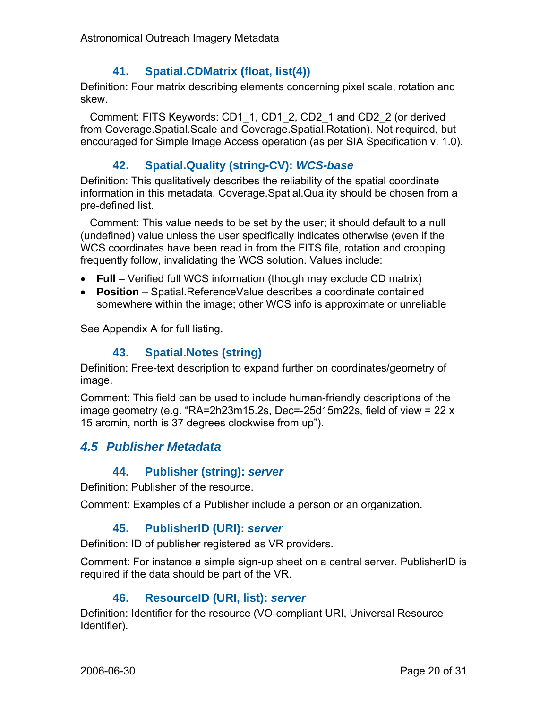#### **41. Spatial.CDMatrix (float, list(4))**

Definition: Four matrix describing elements concerning pixel scale, rotation and skew.

Comment: FITS Keywords: CD1\_1, CD1\_2, CD2\_1 and CD2\_2 (or derived from Coverage.Spatial.Scale and Coverage.Spatial.Rotation). Not required, but encouraged for Simple Image Access operation (as per SIA Specification v. 1.0).

#### **42. Spatial.Quality (string-CV):** *WCS-base*

Definition: This qualitatively describes the reliability of the spatial coordinate information in this metadata. Coverage.Spatial.Quality should be chosen from a pre-defined list.

Comment: This value needs to be set by the user; it should default to a null (undefined) value unless the user specifically indicates otherwise (even if the WCS coordinates have been read in from the FITS file, rotation and cropping frequently follow, invalidating the WCS solution. Values include:

- **Full** Verified full WCS information (though may exclude CD matrix)
- **Position** Spatial.ReferenceValue describes a coordinate contained somewhere within the image; other WCS info is approximate or unreliable

See Appendix A for full listing.

#### **43. Spatial.Notes (string)**

Definition: Free-text description to expand further on coordinates/geometry of image.

Comment: This field can be used to include human-friendly descriptions of the image geometry (e.g. "RA=2h23m15.2s, Dec=-25d15m22s, field of view = 22 x 15 arcmin, north is 37 degrees clockwise from up").

## *4.5 Publisher Metadata*

#### **44. Publisher (string):** *server*

Definition: Publisher of the resource.

Comment: Examples of a Publisher include a person or an organization.

#### **45. PublisherID (URI):** *server*

Definition: ID of publisher registered as VR providers.

Comment: For instance a simple sign-up sheet on a central server. PublisherID is required if the data should be part of the VR.

#### **46. ResourceID (URI, list):** *server*

Definition: Identifier for the resource (VO-compliant URI, Universal Resource Identifier).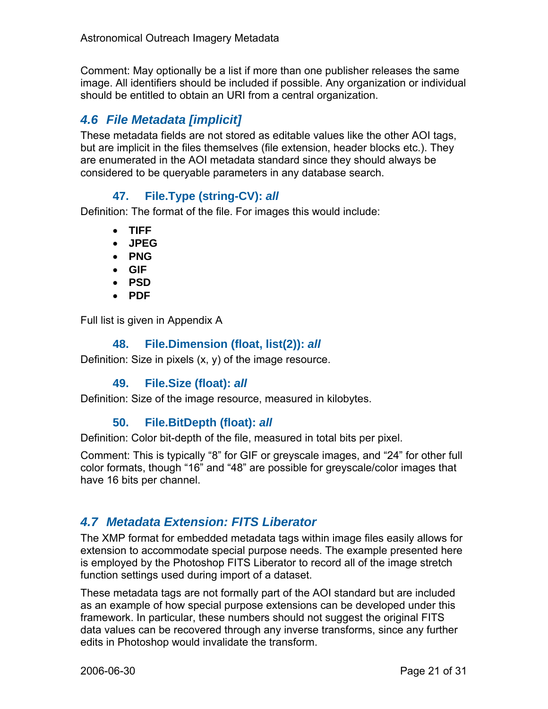Comment: May optionally be a list if more than one publisher releases the same image. All identifiers should be included if possible. Any organization or individual should be entitled to obtain an URI from a central organization.

## *4.6 File Metadata [implicit]*

These metadata fields are not stored as editable values like the other AOI tags, but are implicit in the files themselves (file extension, header blocks etc.). They are enumerated in the AOI metadata standard since they should always be considered to be queryable parameters in any database search.

## **47. File.Type (string-CV):** *all*

Definition: The format of the file. For images this would include:

- **TIFF**
- **JPEG**
- **PNG**
- **GIF**
- **PSD**
- **PDF**

Full list is given in Appendix A

## **48. File.Dimension (float, list(2)):** *all*

Definition: Size in pixels (x, y) of the image resource.

## **49. File.Size (float):** *all*

Definition: Size of the image resource, measured in kilobytes.

## **50. File.BitDepth (float):** *all*

Definition: Color bit-depth of the file, measured in total bits per pixel.

Comment: This is typically "8" for GIF or greyscale images, and "24" for other full color formats, though "16" and "48" are possible for greyscale/color images that have 16 bits per channel.

## *4.7 Metadata Extension: FITS Liberator*

The XMP format for embedded metadata tags within image files easily allows for extension to accommodate special purpose needs. The example presented here is employed by the Photoshop FITS Liberator to record all of the image stretch function settings used during import of a dataset.

These metadata tags are not formally part of the AOI standard but are included as an example of how special purpose extensions can be developed under this framework. In particular, these numbers should not suggest the original FITS data values can be recovered through any inverse transforms, since any further edits in Photoshop would invalidate the transform.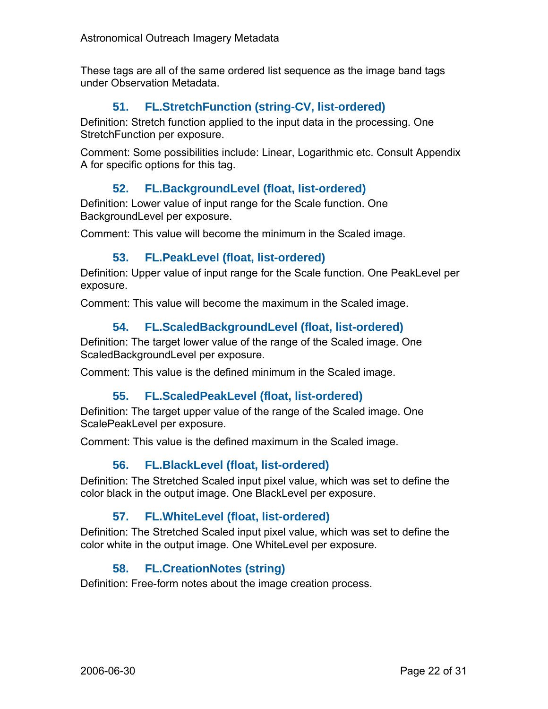These tags are all of the same ordered list sequence as the image band tags under Observation Metadata.

## **51. FL.StretchFunction (string-CV, list-ordered)**

Definition: Stretch function applied to the input data in the processing. One StretchFunction per exposure.

Comment: Some possibilities include: Linear, Logarithmic etc. Consult Appendix A for specific options for this tag.

## **52. FL.BackgroundLevel (float, list-ordered)**

Definition: Lower value of input range for the Scale function. One BackgroundLevel per exposure.

Comment: This value will become the minimum in the Scaled image.

#### **53. FL.PeakLevel (float, list-ordered)**

Definition: Upper value of input range for the Scale function. One PeakLevel per exposure.

Comment: This value will become the maximum in the Scaled image.

#### **54. FL.ScaledBackgroundLevel (float, list-ordered)**

Definition: The target lower value of the range of the Scaled image. One ScaledBackgroundLevel per exposure.

Comment: This value is the defined minimum in the Scaled image.

#### **55. FL.ScaledPeakLevel (float, list-ordered)**

Definition: The target upper value of the range of the Scaled image. One ScalePeakLevel per exposure.

Comment: This value is the defined maximum in the Scaled image.

#### **56. FL.BlackLevel (float, list-ordered)**

Definition: The Stretched Scaled input pixel value, which was set to define the color black in the output image. One BlackLevel per exposure.

#### **57. FL.WhiteLevel (float, list-ordered)**

Definition: The Stretched Scaled input pixel value, which was set to define the color white in the output image. One WhiteLevel per exposure.

## **58. FL.CreationNotes (string)**

Definition: Free-form notes about the image creation process.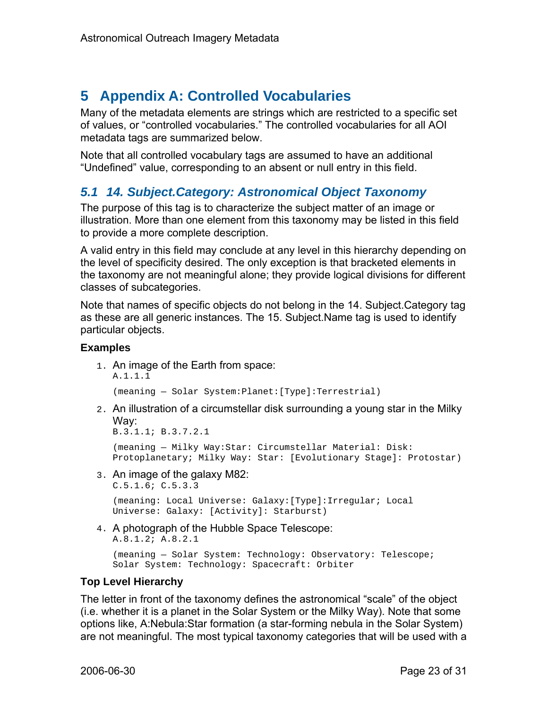## **5 Appendix A: Controlled Vocabularies**

Many of the metadata elements are strings which are restricted to a specific set of values, or "controlled vocabularies." The controlled vocabularies for all AOI metadata tags are summarized below.

Note that all controlled vocabulary tags are assumed to have an additional "Undefined" value, corresponding to an absent or null entry in this field.

## *5.1 14. Subject.Category: Astronomical Object Taxonomy*

The purpose of this tag is to characterize the subject matter of an image or illustration. More than one element from this taxonomy may be listed in this field to provide a more complete description.

A valid entry in this field may conclude at any level in this hierarchy depending on the level of specificity desired. The only exception is that bracketed elements in the taxonomy are not meaningful alone; they provide logical divisions for different classes of subcategories.

Note that names of specific objects do not belong in the 14. Subject.Category tag as these are all generic instances. The 15. Subject.Name tag is used to identify particular objects.

#### **Examples**

1. An image of the Earth from space: A.1.1.1

(meaning — Solar System:Planet:[Type]:Terrestrial)

2. An illustration of a circumstellar disk surrounding a young star in the Milky Way:

B.3.1.1; B.3.7.2.1

(meaning — Milky Way:Star: Circumstellar Material: Disk: Protoplanetary; Milky Way: Star: [Evolutionary Stage]: Protostar)

3. An image of the galaxy M82:

```
C.5.1.6; C.5.3.3
```

```
(meaning: Local Universe: Galaxy:[Type]:Irregular; Local 
Universe: Galaxy: [Activity]: Starburst)
```
4. A photograph of the Hubble Space Telescope: A.8.1.2; A.8.2.1

```
(meaning — Solar System: Technology: Observatory: Telescope; 
Solar System: Technology: Spacecraft: Orbiter
```
## **Top Level Hierarchy**

The letter in front of the taxonomy defines the astronomical "scale" of the object (i.e. whether it is a planet in the Solar System or the Milky Way). Note that some options like, A:Nebula:Star formation (a star-forming nebula in the Solar System) are not meaningful. The most typical taxonomy categories that will be used with a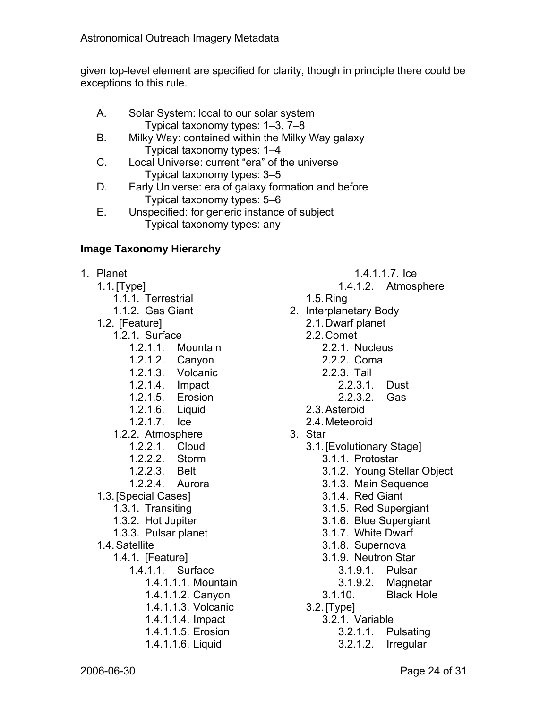given top-level element are specified for clarity, though in principle there could be exceptions to this rule.

- A. Solar System: local to our solar system Typical taxonomy types: 1–3, 7–8
- B. Milky Way: contained within the Milky Way galaxy Typical taxonomy types: 1–4
- C. Local Universe: current "era" of the universe Typical taxonomy types: 3–5
- D. Early Universe: era of galaxy formation and before Typical taxonomy types: 5–6
- E. Unspecified: for generic instance of subject Typical taxonomy types: any

#### **Image Taxonomy Hierarchy**

- 1. Planet
	- 1.1. [Type]
		- 1.1.1. Terrestrial
		- 1.1.2. Gas Giant
	- 1.2. [Feature]
		- 1.2.1. Surface
			- 1.2.1.1. Mountain
			- 1.2.1.2. Canyon
			- 1.2.1.3. Volcanic
			- 1.2.1.4. Impact
			- 1.2.1.5. Erosion
			- 1.2.1.6. Liquid
			- 1.2.1.7. Ice
			- 1.2.2. Atmosphere
				- 1.2.2.1. Cloud
				- 1.2.2.2. Storm
				- 1.2.2.3. Belt
				- 1.2.2.4. Aurora
	- 1.3. [Special Cases]
		- 1.3.1. Transiting
		- 1.3.2. Hot Jupiter
		- 1.3.3. Pulsar planet
	- 1.4. Satellite
		- 1.4.1. [Feature]
			- 1.4.1.1. Surface
				- 1.4.1.1.1. Mountain
				- 1.4.1.1.2. Canyon
				- 1.4.1.1.3. Volcanic
				- 1.4.1.1.4. Impact
				- 1.4.1.1.5. Erosion
				- 1.4.1.1.6. Liquid
- 1.4.1.1.7. Ice
- 1.4.1.2. Atmosphere
- 1.5. Ring
- 2. Interplanetary Body
	- 2.1. Dwarf planet
	- 2.2. Comet
		- 2.2.1. Nucleus
		- 2.2.2. Coma
		- 2.2.3. Tail
			- 2.2.3.1. Dust
			- 2.2.3.2. Gas
	- 2.3. Asteroid
	- 2.4. Meteoroid
- 3. Star
	- 3.1. [Evolutionary Stage]
		- 3.1.1. Protostar
		- 3.1.2. Young Stellar Object
		- 3.1.3. Main Sequence
		- 3.1.4. Red Giant
		- 3.1.5. Red Supergiant
		- 3.1.6. Blue Supergiant
		- 3.1.7. White Dwarf
		- 3.1.8. Supernova
		- 3.1.9. Neutron Star
			- 3.1.9.1. Pulsar
			- 3.1.9.2. Magnetar
		- 3.1.10. Black Hole
	- 3.2. [Type]
		- 3.2.1. Variable
			- 3.2.1.1. Pulsating
			- 3.2.1.2. Irregular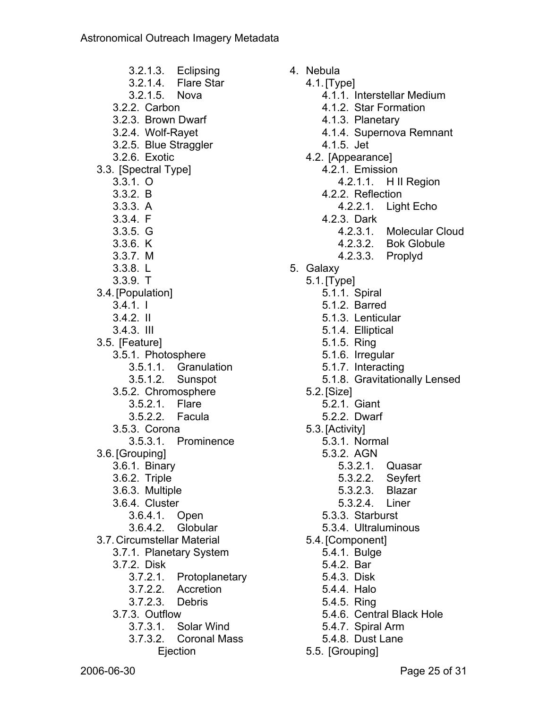3.2.1.3. Eclipsing 3.2.1.4. Flare Star 3.2.1.5. Nova 3.2.2. Carbon 3.2.3. Brown Dwarf 3.2.4. Wolf-Rayet 3.2.5. Blue Straggler 3.2.6. Exotic 3.3. [Spectral Type] 3.3.1. O 3.3.2. B 3.3.3. A 3.3.4. F 3.3.5. G 3.3.6. K 3.3.7. M 3.3.8. L 3.3.9. T 3.4. [Population] 3.4.1. I 3.4.2. II 3.4.3. III 3.5. [Feature] 3.5.1. Photosphere 3.5.1.1. Granulation 3.5.1.2. Sunspot 3.5.2. Chromosphere 3.5.2.1. Flare 3.5.2.2. Facula 3.5.3. Corona 3.5.3.1. Prominence 3.6. [Grouping] 3.6.1. Binary 3.6.2. Triple 3.6.3. Multiple 3.6.4. Cluster 3.6.4.1. Open 3.6.4.2. Globular 3.7. Circumstellar Material 3.7.1. Planetary System 3.7.2. Disk 3.7.2.1. Protoplanetary 3.7.2.2. Accretion 3.7.2.3. Debris 3.7.3. Outflow 3.7.3.1. Solar Wind 3.7.3.2. Coronal Mass Ejection

4. Nebula

- 4.1. [Type]
	- 4.1.1. Interstellar Medium
	- 4.1.2. Star Formation
	- 4.1.3. Planetary
	- 4.1.4. Supernova Remnant
	- 4.1.5. Jet
- 4.2. [Appearance]
	- 4.2.1. Emission
		- 4.2.1.1. H II Region
	- 4.2.2. Reflection
		- 4.2.2.1. Light Echo
	- 4.2.3. Dark
		- 4.2.3.1. Molecular Cloud
		- 4.2.3.2. Bok Globule
		- 4.2.3.3. Proplyd
- 5. Galaxy
	- 5.1. [Type]
		- 5.1.1. Spiral
		- 5.1.2. Barred
		- 5.1.3. Lenticular
		- 5.1.4. Elliptical
		- 5.1.5. Ring
		- 5.1.6. Irregular
		- 5.1.7. Interacting
		- 5.1.8. Gravitationally Lensed
	- 5.2. [Size]
		- 5.2.1. Giant
		- 5.2.2. Dwarf
	- 5.3. [Activity]
		- 5.3.1. Normal
		- 5.3.2. AGN
			- 5.3.2.1. Quasar
			- 5.3.2.2. Seyfert
			- 5.3.2.3. Blazar
			- 5.3.2.4. Liner
		- 5.3.3. Starburst
		- 5.3.4. Ultraluminous
	- 5.4. [Component]
		- 5.4.1. Bulge
		- 5.4.2. Bar
		- 5.4.3. Disk
		- 5.4.4. Halo
		- 5.4.5. Ring
		- 5.4.6. Central Black Hole
		- 5.4.7. Spiral Arm
		- 5.4.8. Dust Lane
	- 5.5. [Grouping]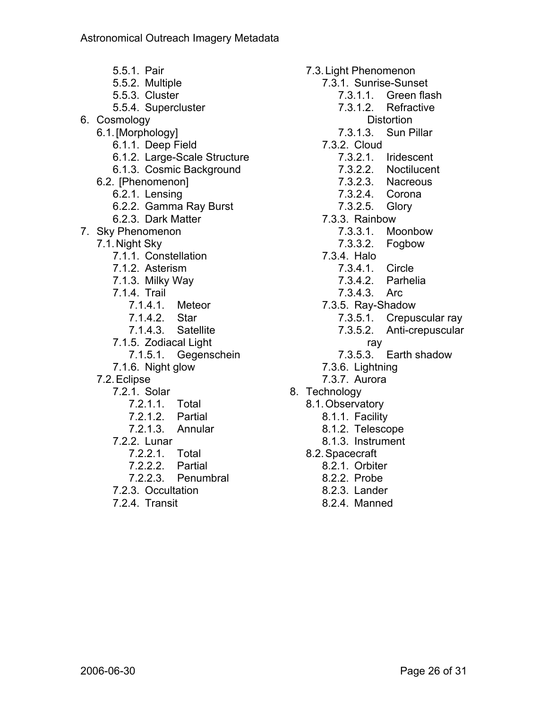5.5.1. Pair 5.5.2. Multiple 5.5.3. Cluster 5.5.4. Supercluster 6. Cosmology 6.1. [Morphology] 6.1.1. Deep Field 6.1.2. Large-Scale Structure 6.1.3. Cosmic Background 6.2. [Phenomenon] 6.2.1. Lensing 6.2.2. Gamma Ray Burst 6.2.3. Dark Matter 7. Sky Phenomenon 7.1. Night Sky 7.1.1. Constellation 7.1.2. Asterism 7.1.3. Milky Way 7.1.4. Trail 7.1.4.1. Meteor 7.1.4.2. Star 7.1.4.3. Satellite 7.1.5. Zodiacal Light 7.1.5.1. Gegenschein 7.1.6. Night glow 7.2. Eclipse 7.2.1. Solar 7.2.1.1. Total 7.2.1.2. Partial 7.2.1.3. Annular 7.2.2. Lunar 7.2.2.1. Total 7.2.2.2. Partial 7.2.2.3. Penumbral 7.2.3. Occultation 7.2.4. Transit

7.3. Light Phenomenon 7.3.1. Sunrise-Sunset 7.3.1.1. Green flash 7.3.1.2. Refractive **Distortion** 7.3.1.3. Sun Pillar 7.3.2. Cloud 7.3.2.1. Iridescent 7.3.2.2. Noctilucent 7.3.2.3. Nacreous 7.3.2.4. Corona 7.3.2.5. Glory 7.3.3. Rainbow 7.3.3.1. Moonbow 7.3.3.2. Fogbow 7.3.4. Halo 7.3.4.1. Circle 7.3.4.2. Parhelia 7.3.4.3. Arc 7.3.5. Ray-Shadow 7.3.5.1. Crepuscular ray 7.3.5.2. Anti-crepuscular ray 7.3.5.3. Earth shadow 7.3.6. Lightning 7.3.7. Aurora 8. Technology 8.1. Observatory 8.1.1. Facility 8.1.2. Telescope 8.1.3. Instrument 8.2. Spacecraft 8.2.1. Orbiter 8.2.2. Probe 8.2.3. Lander

8.2.4. Manned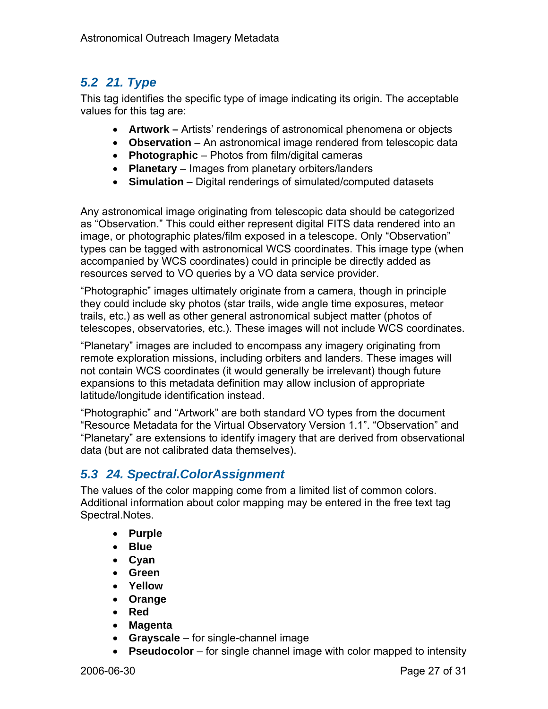## *5.2 21. Type*

This tag identifies the specific type of image indicating its origin. The acceptable values for this tag are:

- **Artwork –** Artists' renderings of astronomical phenomena or objects
- **Observation** An astronomical image rendered from telescopic data
- **Photographic** Photos from film/digital cameras
- **Planetary**  Images from planetary orbiters/landers
- **Simulation** Digital renderings of simulated/computed datasets

Any astronomical image originating from telescopic data should be categorized as "Observation." This could either represent digital FITS data rendered into an image, or photographic plates/film exposed in a telescope. Only "Observation" types can be tagged with astronomical WCS coordinates. This image type (when accompanied by WCS coordinates) could in principle be directly added as resources served to VO queries by a VO data service provider.

"Photographic" images ultimately originate from a camera, though in principle they could include sky photos (star trails, wide angle time exposures, meteor trails, etc.) as well as other general astronomical subject matter (photos of telescopes, observatories, etc.). These images will not include WCS coordinates.

"Planetary" images are included to encompass any imagery originating from remote exploration missions, including orbiters and landers. These images will not contain WCS coordinates (it would generally be irrelevant) though future expansions to this metadata definition may allow inclusion of appropriate latitude/longitude identification instead.

"Photographic" and "Artwork" are both standard VO types from the document "Resource Metadata for the Virtual Observatory Version 1.1". "Observation" and "Planetary" are extensions to identify imagery that are derived from observational data (but are not calibrated data themselves).

## *5.3 24. Spectral.ColorAssignment*

The values of the color mapping come from a limited list of common colors. Additional information about color mapping may be entered in the free text tag Spectral.Notes.

- **Purple**
- **Blue**
- **Cyan**
- **Green**
- **Yellow**
- **Orange**
- **Red**
- **Magenta**
- **Grayscale**  for single-channel image
- **Pseudocolor** for single channel image with color mapped to intensity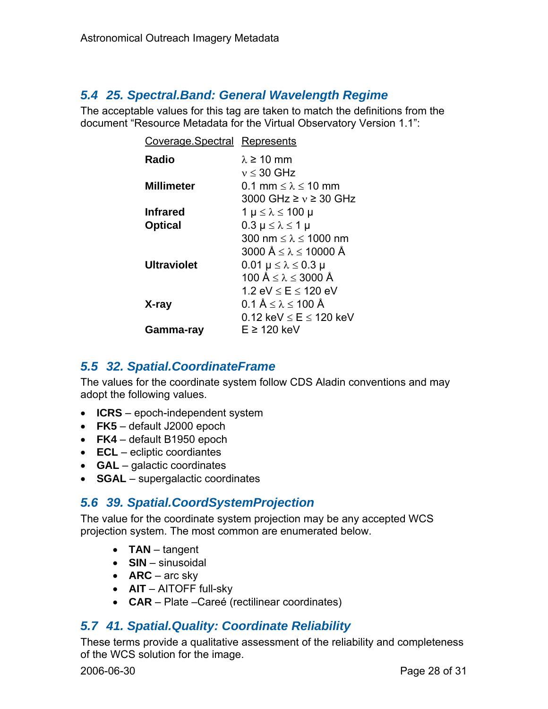## *5.4 25. Spectral.Band: General Wavelength Regime*

The acceptable values for this tag are taken to match the definitions from the document "Resource Metadata for the Virtual Observatory Version 1.1":

| Coverage Spectral Represents |                                                   |
|------------------------------|---------------------------------------------------|
| Radio                        | $\lambda \geq 10$ mm                              |
|                              | $v \leq 30$ GHz                                   |
| <b>Millimeter</b>            | 0.1 mm $\leq \lambda \leq 10$ mm                  |
|                              | 3000 GHz $\geq v \geq 30$ GHz                     |
| <b>Infrared</b>              | 1 μ ≤ λ ≤ 100 μ                                   |
| <b>Optical</b>               | $0.3 \mu \leq \lambda \leq 1 \mu$                 |
|                              | 300 nm $\leq \lambda \leq 1000$ nm                |
|                              | 3000 $\text{Å} \leq \lambda \leq 10000 \text{ Å}$ |
| <b>Ultraviolet</b>           | $0.01 \mu \leq \lambda \leq 0.3 \mu$              |
|                              | 100 Å $\leq \lambda \leq 3000$ Å                  |
|                              | 1.2 eV $\leq$ E $\leq$ 120 eV                     |
| X-ray                        | $0.1 \text{ Å} \leq \lambda \leq 100 \text{ Å}$   |
|                              | 0.12 keV $\leq$ E $\leq$ 120 keV                  |
| Gamma-ray                    | F ≥ 120 keV                                       |

## *5.5 32. Spatial.CoordinateFrame*

The values for the coordinate system follow CDS Aladin conventions and may adopt the following values.

- **ICRS** epoch-independent system
- **FK5** default J2000 epoch
- **FK4** default B1950 epoch
- **ECL** ecliptic coordiantes
- **GAL** galactic coordinates
- **SGAL** supergalactic coordinates

## *5.6 39. Spatial.CoordSystemProjection*

The value for the coordinate system projection may be any accepted WCS projection system. The most common are enumerated below.

- **TAN** tangent
- **SIN** sinusoidal
- **ARC** arc sky
- **AIT** AITOFF full-sky
- **CAR** Plate –Careé (rectilinear coordinates)

## *5.7 41. Spatial.Quality: Coordinate Reliability*

These terms provide a qualitative assessment of the reliability and completeness of the WCS solution for the image.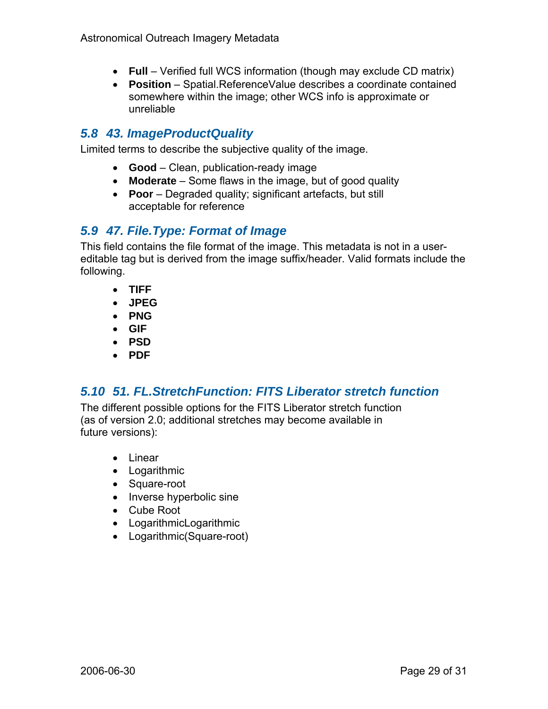- **Full** Verified full WCS information (though may exclude CD matrix)
- **Position** Spatial.ReferenceValue describes a coordinate contained somewhere within the image; other WCS info is approximate or unreliable

## *5.8 43. ImageProductQuality*

Limited terms to describe the subjective quality of the image.

- **Good** Clean, publication-ready image
- **Moderate** Some flaws in the image, but of good quality
- **Poor** Degraded quality; significant artefacts, but still acceptable for reference

## *5.9 47. File.Type: Format of Image*

This field contains the file format of the image. This metadata is not in a usereditable tag but is derived from the image suffix/header. Valid formats include the following.

- **TIFF**
- **JPEG**
- **PNG**
- **GIF**
- **PSD**
- **PDF**

## *5.10 51. FL.StretchFunction: FITS Liberator stretch function*

The different possible options for the FITS Liberator stretch function (as of version 2.0; additional stretches may become available in future versions):

- Linear
- Logarithmic
- Square-root
- Inverse hyperbolic sine
- Cube Root
- LogarithmicLogarithmic
- Logarithmic(Square-root)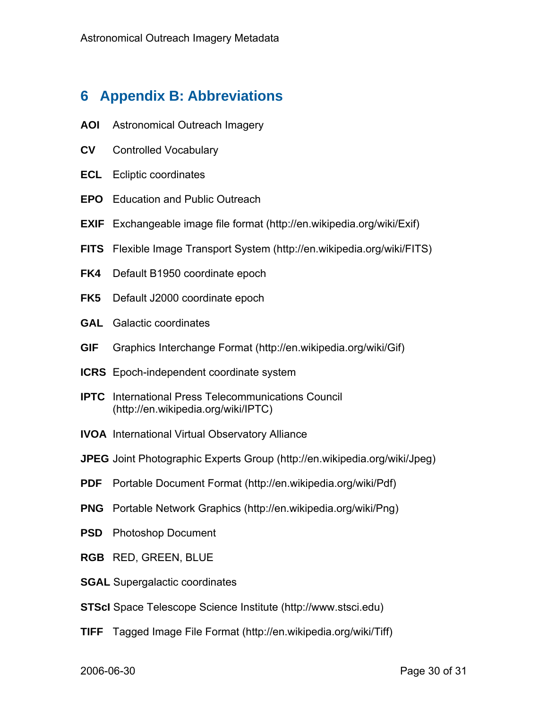## **6 Appendix B: Abbreviations**

- **AOI** Astronomical Outreach Imagery
- **CV** Controlled Vocabulary
- **ECL** Ecliptic coordinates
- **EPO** Education and Public Outreach
- **EXIF** Exchangeable image file format (http://en.wikipedia.org/wiki/Exif)
- **FITS** Flexible Image Transport System (http://en.wikipedia.org/wiki/FITS)
- **FK4** Default B1950 coordinate epoch
- **FK5** Default J2000 coordinate epoch
- **GAL** Galactic coordinates
- **GIF** Graphics Interchange Format (http://en.wikipedia.org/wiki/Gif)
- **ICRS** Epoch-independent coordinate system
- **IPTC** International Press Telecommunications Council (http://en.wikipedia.org/wiki/IPTC)
- **IVOA** International Virtual Observatory Alliance
- **JPEG** Joint Photographic Experts Group (http://en.wikipedia.org/wiki/Jpeg)
- **PDF** Portable Document Format (http://en.wikipedia.org/wiki/Pdf)
- **PNG** Portable Network Graphics (http://en.wikipedia.org/wiki/Png)
- **PSD** Photoshop Document
- **RGB** RED, GREEN, BLUE
- **SGAL** Supergalactic coordinates
- **STScI** Space Telescope Science Institute (http://www.stsci.edu)
- **TIFF** Tagged Image File Format (http://en.wikipedia.org/wiki/Tiff)